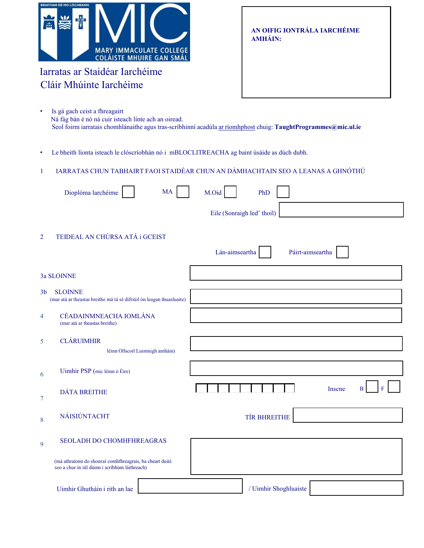| <b>BRIATHAR DÉ MO LÓCHRANN</b> |                                                                   |  |
|--------------------------------|-------------------------------------------------------------------|--|
|                                | <b>MARY IMMACULATE COLLEGE</b><br><b>COLÁISTE MHUIRE GAN SMÁL</b> |  |

# Iarratas ar Staidéar Iarchéime Cláir Mhúinte Iarchéime

**AN OIFIG IONTRÁLA IARCHÉIME AMHÁIN:**

| Is gá gach ceist a fhreagairt                                                                                   |
|-----------------------------------------------------------------------------------------------------------------|
| Ná fág bán é nó ná cuir isteach línte ach an oiread.                                                            |
| Seol foirm iarratais chomhlánaithe agus tras-scríbhinní acadúla ar ríomhphost chuig: TaughtProgrammes@mic.ul.ie |

• Le bheith líonta isteach le clóscríobhán nó i mBLOCLITREACHA ag baint úsáide as dúch dubh.

# 1 IARRATAS CHUN TABHAIRT FAOI STAIDÉAR CHUN AN DÁMHACHTAIN SEO A LEANAS A GHNÓTHÚ

|                  | Dioplóma larchéime<br><b>MA</b>                                                                             | M.Oid<br>PhD                       |
|------------------|-------------------------------------------------------------------------------------------------------------|------------------------------------|
|                  |                                                                                                             | Eile (Sonraigh led' thoil)         |
| $\overline{2}$   | TEIDEAL AN CHÚRSA ATÁ i GCEIST                                                                              | Lán-aimseartha<br>Páirt-aimseartha |
|                  | 3a SLOINNE                                                                                                  |                                    |
| 3 <sub>b</sub>   | <b>SLOINNE</b><br>(mar atá ar theastas breithe má tá sé difriúil ón leagan thuasluaite)                     |                                    |
| $\overline{4}$   | CÉADAINMNEACHA IOMLÁNA<br>(mar atá ar theastas breithe)                                                     |                                    |
| 5                | <b>CLÁRUIMHIR</b><br>léinn Ollscoil Luimnigh amháin)                                                        |                                    |
| 6                | Uimhir PSP (mic léinn ó Éire)                                                                               |                                    |
| $\boldsymbol{7}$ | <b>DÁTA BREITHE</b>                                                                                         | $\bf{B}$<br>Inscne<br>F            |
| 8                | NÁISIÚNTACHT                                                                                                | TÍR BHREITHE                       |
| 9                | SEOLADH DO CHOMHFHREAGRAS                                                                                   |                                    |
|                  | (má athraíonn do shonraí comhfhreagrais, ba cheart duité<br>seo a chur in iúl dúinn i scríbhinn láithreach) |                                    |
|                  | Uimhir Ghutháin i rith an lae                                                                               | / Uimhir Shoghluaiste              |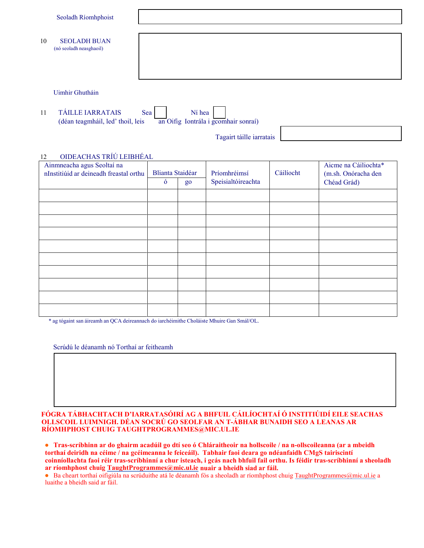|    | Seoladh Ríomhphoist                                          |                                                       |
|----|--------------------------------------------------------------|-------------------------------------------------------|
| 10 | <b>SEOLADH BUAN</b><br>(nó seoladh neasghaoil)               |                                                       |
|    | Uimhir Ghutháin                                              |                                                       |
| 11 | <b>TÁILLE IARRATAIS</b><br>(déan teagmháil, led' thoil, leis | Ní hea<br>Sea<br>an Oifig Iontrála i gcomhair sonraí) |

Tagairt táille iarratais

## 12 OIDEACHAS TRÍÚ LEIBHÉAL

| Ainmneacha agus Seoltaí na<br>nInstitiúid ar deineadh freastal orthu | <b>Blianta Staidéar</b> |    | Príomhréimsí       | Cáilíocht | Aicme na Cáiliochta*<br>(m.sh. Onóracha den |
|----------------------------------------------------------------------|-------------------------|----|--------------------|-----------|---------------------------------------------|
|                                                                      | $\dot{\mathbf{o}}$      | go | Speisialtóireachta |           | Chéad Grád)                                 |
|                                                                      |                         |    |                    |           |                                             |
|                                                                      |                         |    |                    |           |                                             |
|                                                                      |                         |    |                    |           |                                             |
|                                                                      |                         |    |                    |           |                                             |
|                                                                      |                         |    |                    |           |                                             |
|                                                                      |                         |    |                    |           |                                             |
|                                                                      |                         |    |                    |           |                                             |
|                                                                      |                         |    |                    |           |                                             |
|                                                                      |                         |    |                    |           |                                             |
|                                                                      |                         |    |                    |           |                                             |

\* ag tógaint san áireamh an QCA deireannach do iarchéimithe Choláiste Mhuire Gan Smál/OL.

Scrúdú le déanamh nó Torthaí ar feitheamh

#### **FÓGRA TÁBHACHTACH D'IARRATASÓIRÍ AG A BHFUIL CÁILÍOCHTAÍ Ó INSTITIÚIDÍ EILE SEACHAS OLLSCOIL LUIMNIGH. DÉAN SOCRÚ GO SEOLFAR AN T-ÁBHAR BUNAIDH SEO A LEANAS AR RÍOMHPHOST CHUIG [TAUGHTPROGRAMMES@MIC.UL.IE](mailto:TAUGHTPROGRAMMES@MIC.UL.IE)**

● **Tras-scríbhinn ar do ghairm acadúil go dtí seo ó Chláraitheoir na hollscoile / na n-ollscoileanna (ar a mbeidh torthaí deiridh na céime / na gcéimeanna le feiceáil). Tabhair faoi deara go ndéanfaidh CMgS tairiscintí coinníollachta faoi réir tras-scríbhinní a chur isteach, i gcás nach bhfuil fail orthu. Is féidir tras-scríbhinní a sheoladh ar ríomhphost chuig [TaughtProgrammes@mic.ul.ie](mailto:TaughtProgrammes@mic.ul.ie) nuair a bheidh siad ar fáil.**

● Ba cheart torthaí oifigiúla na scrúduithe atá le déanamh fós a sheoladh ar ríomhphost chuig [TaughtProgrammes@mic.ul.ie](mailto:TaughtProgrammes@mic.ul.ie) a luaithe a bheidh said ar fáil.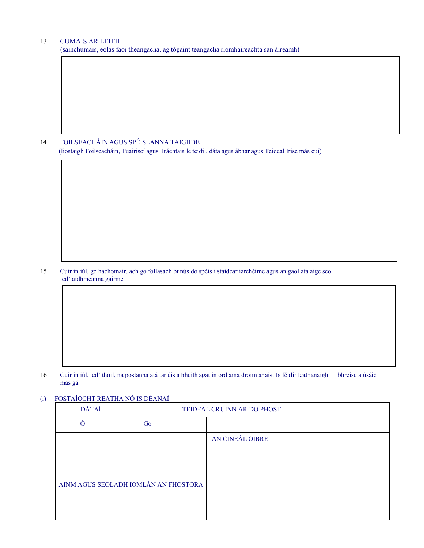### 13 CUMAIS AR LEITH

(sainchumais, eolas faoi theangacha, ag tógaint teangacha ríomhaireachta san áireamh)

14 FOILSEACHÁIN AGUS SPÉISEANNA TAIGHDE (liostaigh Foilseacháin, Tuairiscí agus Tráchtais le teidil, dáta agus ábhar agus Teideal Irise más cuí)

15 Cuir in iúl, go hachomair, ach go follasach bunús do spéis i staidéar iarchéime agus an gaol atá aige seo led' aidhmeanna gairme

16 Cuir in iúl, led' thoil, na postanna atá tar éis a bheith agat in ord ama droim ar ais. Is féidir leathanaigh bhreise a úsáid más gá

## (i) FOSTAÍOCHT REATHA NÓ IS DÉANAÍ

| DÁTAÍ                                |    | TEIDEAL CRUINN AR DO PHOST |                 |
|--------------------------------------|----|----------------------------|-----------------|
|                                      | Go |                            |                 |
|                                      |    |                            | AN CINEÁL OIBRE |
| AINM AGUS SEOLADH IOMLÁN AN FHOSTÓRA |    |                            |                 |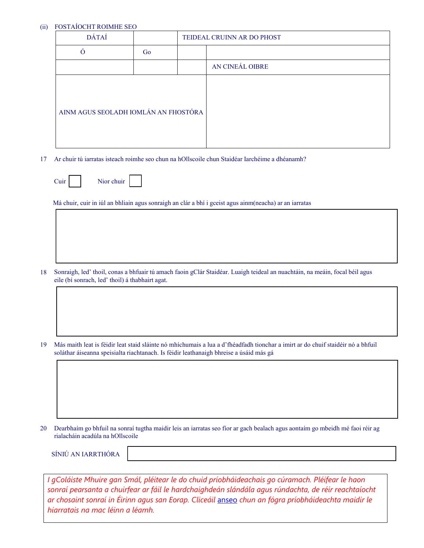## (ii) FOSTAÍOCHT ROIMHE SEO

| <b>DÁTAÍ</b>                         |    | TEIDEAL CRUINN AR DO PHOST |                 |
|--------------------------------------|----|----------------------------|-----------------|
| Ó                                    | Go |                            |                 |
|                                      |    |                            | AN CINEÁL OIBRE |
| AINM AGUS SEOLADH IOMLÁN AN FHOSTÓRA |    |                            |                 |

17 Ar chuir tú iarratas isteach roimhe seo chun na hOllscoile chun Staidéar Iarchéime a dhéanamh?

| Nior chuir |
|------------|
|------------|

Cuir

Má chuir, cuir in iúl an bhliain agus sonraigh an clár a bhí i gceist agus ainm(neacha) ar an iarratas

18 Sonraigh, led' thoil, conas a bhfuair tú amach faoin gClár Staidéar. Luaigh teideal an nuachtáin, na meáin, focal béil agus eile (bí sonrach, led' thoil) á thabhairt agat.

19 Más maith leat is féidir leat staid sláinte nó mhíchumais a lua a d'fhéadfadh tionchar a imirt ar do chuif staidéir nó a bhfuil soláthar áiseanna speisialta riachtanach. Is féidir leathanaigh bhreise a úsáid más gá

20 Dearbhaím go bhfuil na sonraí tugtha maidir leis an iarratas seo fíor ar gach bealach agus aontaím go mbeidh mé faoi réir ag rialacháin acadúla na hOllscoile

SÍNIÚ AN IARRTHÓRA

*I gColáiste Mhuire gan Smál, pléitear le do chuid príobháideachais go cúramach. Pléifear le haon sonraí pearsanta a chuirfear ar fáil le hardchaighdeán slándála agus rúndachta, de réir reachtaíocht ar chosaint sonraí in Éirinn agus san Eorap. Cliceáil* [anseo](https://www.mic.ul.ie/sites/default/files/uploads/461/Direct%20Student%20Application%20Privacy%20Notice_1.pdf) *chun an fógra príobháideachta maidir le hiarratais na mac léinn a léamh.*